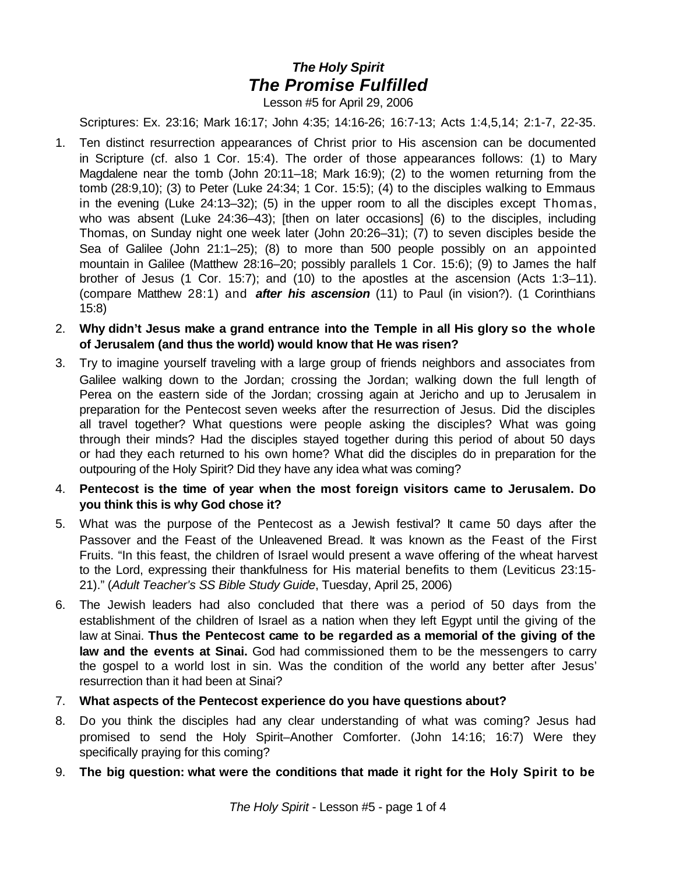## *The Holy Spirit The Promise Fulfilled*

Lesson #5 for April 29, 2006

Scriptures: Ex. 23:16; Mark 16:17; John 4:35; 14:16-26; 16:7-13; Acts 1:4,5,14; 2:1-7, 22-35.

- 1. Ten distinct resurrection appearances of Christ prior to His ascension can be documented in Scripture (cf. also 1 Cor. 15:4). The order of those appearances follows: (1) to Mary Magdalene near the tomb (John 20:11–18; Mark 16:9); (2) to the women returning from the tomb (28:9,10); (3) to Peter (Luke 24:34; 1 Cor. 15:5); (4) to the disciples walking to Emmaus in the evening (Luke 24:13–32); (5) in the upper room to all the disciples except Thomas, who was absent (Luke 24:36–43); [then on later occasions] (6) to the disciples, including Thomas, on Sunday night one week later (John 20:26–31); (7) to seven disciples beside the Sea of Galilee (John 21:1–25); (8) to more than 500 people possibly on an appointed mountain in Galilee (Matthew 28:16–20; possibly parallels 1 Cor. 15:6); (9) to James the half brother of Jesus (1 Cor. 15:7); and (10) to the apostles at the ascension (Acts 1:3–11). (compare Matthew 28:1) and *after his ascension* (11) to Paul (in vision?). (1 Corinthians 15:8)
- 2. **Why didn't Jesus make a grand entrance into the Temple in all His glory so the whole of Jerusalem (and thus the world) would know that He was risen?**
- 3. Try to imagine yourself traveling with a large group of friends neighbors and associates from Galilee walking down to the Jordan; crossing the Jordan; walking down the full length of Perea on the eastern side of the Jordan; crossing again at Jericho and up to Jerusalem in preparation for the Pentecost seven weeks after the resurrection of Jesus. Did the disciples all travel together? What questions were people asking the disciples? What was going through their minds? Had the disciples stayed together during this period of about 50 days or had they each returned to his own home? What did the disciples do in preparation for the outpouring of the Holy Spirit? Did they have any idea what was coming?
- 4. **Pentecost is the time of year when the most foreign visitors came to Jerusalem. Do you think this is why God chose it?**
- 5. What was the purpose of the Pentecost as a Jewish festival? It came 50 days after the Passover and the Feast of the Unleavened Bread. It was known as the Feast of the First Fruits. "In this feast, the children of Israel would present a wave offering of the wheat harvest to the Lord, expressing their thankfulness for His material benefits to them (Leviticus 23:15- 21)." (*Adult Teacher's SS Bible Study Guide*, Tuesday, April 25, 2006)
- 6. The Jewish leaders had also concluded that there was a period of 50 days from the establishment of the children of Israel as a nation when they left Egypt until the giving of the law at Sinai. **Thus the Pentecost came to be regarded as a memorial of the giving of the law and the events at Sinai.** God had commissioned them to be the messengers to carry the gospel to a world lost in sin. Was the condition of the world any better after Jesus' resurrection than it had been at Sinai?
- 7. **What aspects of the Pentecost experience do you have questions about?**
- 8. Do you think the disciples had any clear understanding of what was coming? Jesus had promised to send the Holy Spirit–Another Comforter. (John 14:16; 16:7) Were they specifically praying for this coming?
- 9. **The big question: what were the conditions that made it right for the Holy Spirit to be**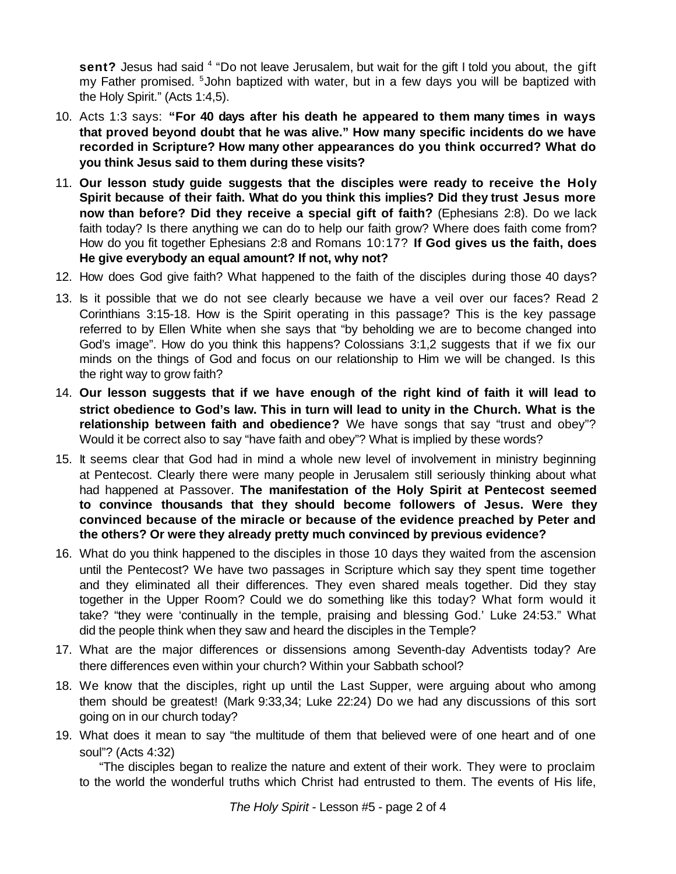sent? Jesus had said <sup>4</sup> "Do not leave Jerusalem, but wait for the gift I told you about, the gift my Father promised. <sup>5</sup> John baptized with water, but in a few days you will be baptized with the Holy Spirit." (Acts 1:4,5).

- 10. Acts 1:3 says: **"For 40 days after his death he appeared to them many times in ways that proved beyond doubt that he was alive." How many specific incidents do we have recorded in Scripture? How many other appearances do you think occurred? What do you think Jesus said to them during these visits?**
- 11. **Our lesson study guide suggests that the disciples were ready to receive the Holy Spirit because of their faith. What do you think this implies? Did they trust Jesus more now than before? Did they receive a special gift of faith?** (Ephesians 2:8). Do we lack faith today? Is there anything we can do to help our faith grow? Where does faith come from? How do you fit together Ephesians 2:8 and Romans 10:17? **If God gives us the faith, does He give everybody an equal amount? If not, why not?**
- 12. How does God give faith? What happened to the faith of the disciples during those 40 days?
- 13. Is it possible that we do not see clearly because we have a veil over our faces? Read 2 Corinthians 3:15-18. How is the Spirit operating in this passage? This is the key passage referred to by Ellen White when she says that "by beholding we are to become changed into God's image". How do you think this happens? Colossians 3:1,2 suggests that if we fix our minds on the things of God and focus on our relationship to Him we will be changed. Is this the right way to grow faith?
- 14. **Our lesson suggests that if we have enough of the right kind of faith it will lead to strict obedience to God's law. This in turn will lead to unity in the Church. What is the relationship between faith and obedience?** We have songs that say "trust and obey"? Would it be correct also to say "have faith and obey"? What is implied by these words?
- 15. It seems clear that God had in mind a whole new level of involvement in ministry beginning at Pentecost. Clearly there were many people in Jerusalem still seriously thinking about what had happened at Passover. **The manifestation of the Holy Spirit at Pentecost seemed to convince thousands that they should become followers of Jesus. Were they convinced because of the miracle or because of the evidence preached by Peter and the others? Or were they already pretty much convinced by previous evidence?**
- 16. What do you think happened to the disciples in those 10 days they waited from the ascension until the Pentecost? We have two passages in Scripture which say they spent time together and they eliminated all their differences. They even shared meals together. Did they stay together in the Upper Room? Could we do something like this today? What form would it take? "they were 'continually in the temple, praising and blessing God.' Luke 24:53." What did the people think when they saw and heard the disciples in the Temple?
- 17. What are the major differences or dissensions among Seventh-day Adventists today? Are there differences even within your church? Within your Sabbath school?
- 18. We know that the disciples, right up until the Last Supper, were arguing about who among them should be greatest! (Mark 9:33,34; Luke 22:24) Do we had any discussions of this sort going on in our church today?
- 19. What does it mean to say "the multitude of them that believed were of one heart and of one soul"? (Acts 4:32)

"The disciples began to realize the nature and extent of their work. They were to proclaim to the world the wonderful truths which Christ had entrusted to them. The events of His life,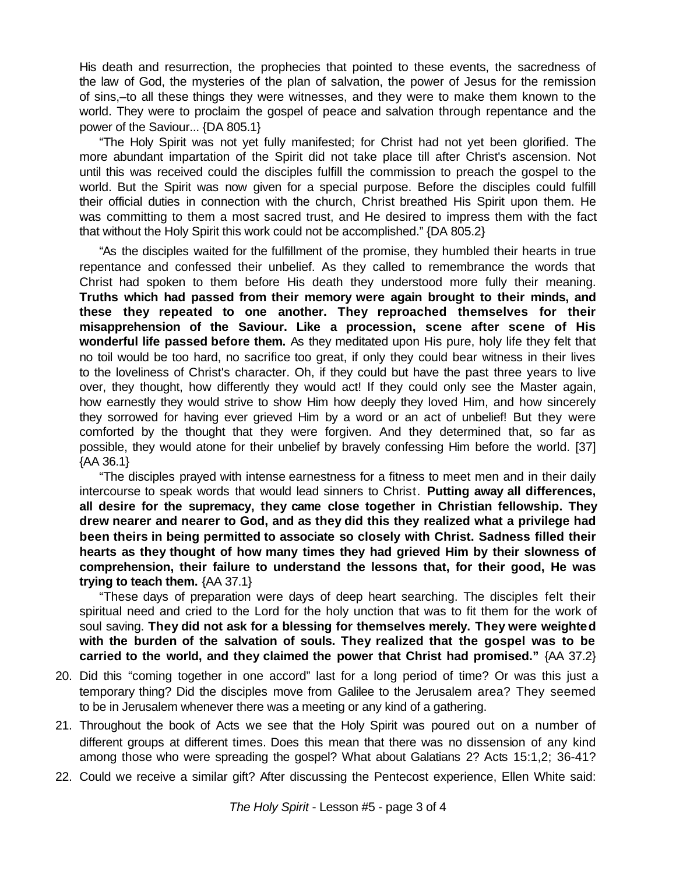His death and resurrection, the prophecies that pointed to these events, the sacredness of the law of God, the mysteries of the plan of salvation, the power of Jesus for the remission of sins,–to all these things they were witnesses, and they were to make them known to the world. They were to proclaim the gospel of peace and salvation through repentance and the power of the Saviour... {DA 805.1}

"The Holy Spirit was not yet fully manifested; for Christ had not yet been glorified. The more abundant impartation of the Spirit did not take place till after Christ's ascension. Not until this was received could the disciples fulfill the commission to preach the gospel to the world. But the Spirit was now given for a special purpose. Before the disciples could fulfill their official duties in connection with the church, Christ breathed His Spirit upon them. He was committing to them a most sacred trust, and He desired to impress them with the fact that without the Holy Spirit this work could not be accomplished." {DA 805.2}

"As the disciples waited for the fulfillment of the promise, they humbled their hearts in true repentance and confessed their unbelief. As they called to remembrance the words that Christ had spoken to them before His death they understood more fully their meaning. **Truths which had passed from their memory were again brought to their minds, and these they repeated to one another. They reproached themselves for their misapprehension of the Saviour. Like a procession, scene after scene of His wonderful life passed before them.** As they meditated upon His pure, holy life they felt that no toil would be too hard, no sacrifice too great, if only they could bear witness in their lives to the loveliness of Christ's character. Oh, if they could but have the past three years to live over, they thought, how differently they would act! If they could only see the Master again, how earnestly they would strive to show Him how deeply they loved Him, and how sincerely they sorrowed for having ever grieved Him by a word or an act of unbelief! But they were comforted by the thought that they were forgiven. And they determined that, so far as possible, they would atone for their unbelief by bravely confessing Him before the world. [37] {AA 36.1}

"The disciples prayed with intense earnestness for a fitness to meet men and in their daily intercourse to speak words that would lead sinners to Christ. **Putting away all differences, all desire for the supremacy, they came close together in Christian fellowship. They drew nearer and nearer to God, and as they did this they realized what a privilege had been theirs in being permitted to associate so closely with Christ. Sadness filled their hearts as they thought of how many times they had grieved Him by their slowness of comprehension, their failure to understand the lessons that, for their good, He was trying to teach them.** {AA 37.1}

"These days of preparation were days of deep heart searching. The disciples felt their spiritual need and cried to the Lord for the holy unction that was to fit them for the work of soul saving. **They did not ask for a blessing for themselves merely. They were weighted with the burden of the salvation of souls. They realized that the gospel was to be carried to the world, and they claimed the power that Christ had promised."** {AA 37.2}

- 20. Did this "coming together in one accord" last for a long period of time? Or was this just a temporary thing? Did the disciples move from Galilee to the Jerusalem area? They seemed to be in Jerusalem whenever there was a meeting or any kind of a gathering.
- 21. Throughout the book of Acts we see that the Holy Spirit was poured out on a number of different groups at different times. Does this mean that there was no dissension of any kind among those who were spreading the gospel? What about Galatians 2? Acts 15:1,2; 36-41?
- 22. Could we receive a similar gift? After discussing the Pentecost experience, Ellen White said: